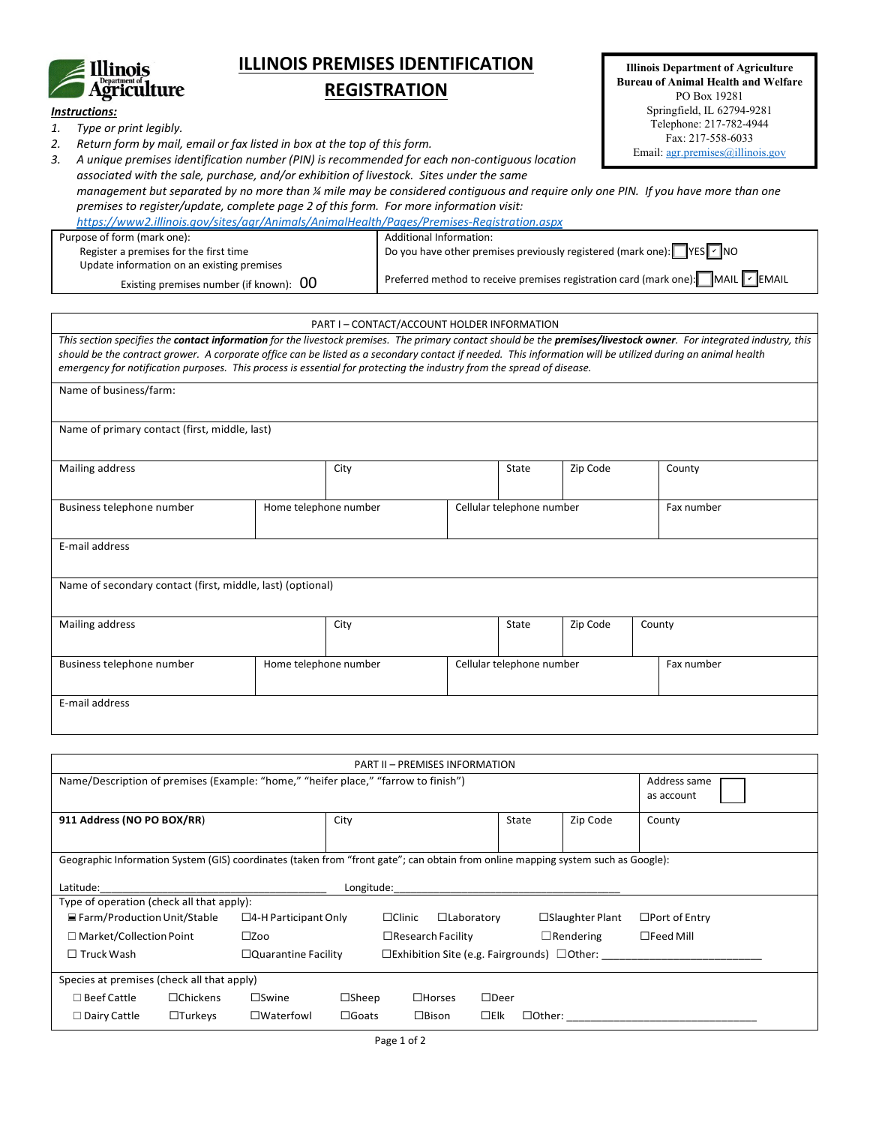

## **ILLINOIS PREMISES IDENTIFICATION**

## **REGISTRATION**

| <b>Illinois Department of Agriculture</b>  |
|--------------------------------------------|
| <b>Bureau of Animal Health and Welfare</b> |
| PO Box 19281                               |
| Springfield, IL 62794-9281                 |
| Telephone: 217-782-4944                    |
| Fax: 217-558-6033                          |
| Email: $agr.premises@illinois.gov$         |

| Instructions: |  |
|---------------|--|
|               |  |

*1. Type or print legibly.*

*2. Return form by mail, email or fax listed in box at the top of this form.*

*3. A unique premises identification number (PIN) is recommended for each non-contiguous location associated with the sale, purchase, and/or exhibition of livestock. Sites under the same* 

*management but separated by no more than ¼ mile may be considered contiguous and require only one PIN. If you have more than one premises to register/update, complete page 2 of this form. For more information visit:* 

*<https://www2.illinois.gov/sites/agr/Animals/AnimalHealth/Pages/Premises-Registration.aspx>*

| Purpose of form (mark one):                    | <b>Additional Information:</b>                                                  |
|------------------------------------------------|---------------------------------------------------------------------------------|
| Register a premises for the first time         | Do you have other premises previously registered (mark one): VES VINO           |
| Update information on an existing premises     |                                                                                 |
| Existing premises number (if known): $\;$ $00$ | Preferred method to receive premises registration card (mark one): MAIL V EMAIL |

PART I – CONTACT/ACCOUNT HOLDER INFORMATION

*This section specifies the contact information for the livestock premises. The primary contact should be the premises/livestock owner. For integrated industry, this should be the contract grower. A corporate office can be listed as a secondary contact if needed. This information will be utilized during an animal health emergency for notification purposes. This process is essential for protecting the industry from the spread of disease.* 

| Name of business/farm:                                     |                       |                       |  |                           |          |  |            |  |
|------------------------------------------------------------|-----------------------|-----------------------|--|---------------------------|----------|--|------------|--|
| Name of primary contact (first, middle, last)              |                       |                       |  |                           |          |  |            |  |
| Mailing address                                            |                       | City                  |  | State                     | Zip Code |  | County     |  |
| Business telephone number                                  | Home telephone number |                       |  | Cellular telephone number |          |  | Fax number |  |
| E-mail address                                             |                       |                       |  |                           |          |  |            |  |
| Name of secondary contact (first, middle, last) (optional) |                       |                       |  |                           |          |  |            |  |
| Mailing address                                            | City                  |                       |  | State                     | Zip Code |  | County     |  |
| Business telephone number                                  |                       | Home telephone number |  | Cellular telephone number |          |  | Fax number |  |
| E-mail address                                             |                       |                       |  |                           |          |  |            |  |

| <b>PART II - PREMISES INFORMATION</b>                                                                                            |                                                                                             |                                              |               |                   |             |       |                        |                      |
|----------------------------------------------------------------------------------------------------------------------------------|---------------------------------------------------------------------------------------------|----------------------------------------------|---------------|-------------------|-------------|-------|------------------------|----------------------|
| Name/Description of premises (Example: "home," "heifer place," "farrow to finish")                                               | Address same<br>as account                                                                  |                                              |               |                   |             |       |                        |                      |
| 911 Address (NO PO BOX/RR)                                                                                                       |                                                                                             | City                                         |               |                   |             | State | Zip Code               | County               |
| Geographic Information System (GIS) coordinates (taken from "front gate"; can obtain from online mapping system such as Google): |                                                                                             |                                              |               |                   |             |       |                        |                      |
| Latitude:                                                                                                                        |                                                                                             | Longitude:                                   |               |                   |             |       |                        |                      |
| Type of operation (check all that apply):                                                                                        |                                                                                             |                                              |               |                   |             |       |                        |                      |
| $\equiv$ Farm/Production Unit/Stable                                                                                             | $\Box$ 4-H Participant Only                                                                 |                                              | $\Box$ Clinic | $\Box$ Laboratory |             |       | $\Box$ Slaughter Plant | $\Box$ Port of Entry |
| $\Box$ Market/Collection Point                                                                                                   | $\square$ Zoo                                                                               | $\Box$ Rendering<br>$\Box$ Research Facility |               |                   |             |       |                        | $\Box$ Feed Mill     |
| $\Box$ Truck Wash                                                                                                                | $\Box$ Quarantine Facility<br>$\square$ Exhibition Site (e.g. Fairgrounds) $\square$ Other: |                                              |               |                   |             |       |                        |                      |
| Species at premises (check all that apply)                                                                                       |                                                                                             |                                              |               |                   |             |       |                        |                      |
| $\square$ Beef Cattle<br>$\Box$ Chickens                                                                                         | $\square$ Swine                                                                             | $\square$ Sheep                              |               | $\Box$ Horses     | $\Box$ Deer |       |                        |                      |
| $\Box$ Turkeys<br>$\Box$ Dairy Cattle                                                                                            | $\square$ Waterfowl                                                                         | $\square$ Goats                              |               | $\square$ Bison   | $\Box$ Elk  |       |                        |                      |